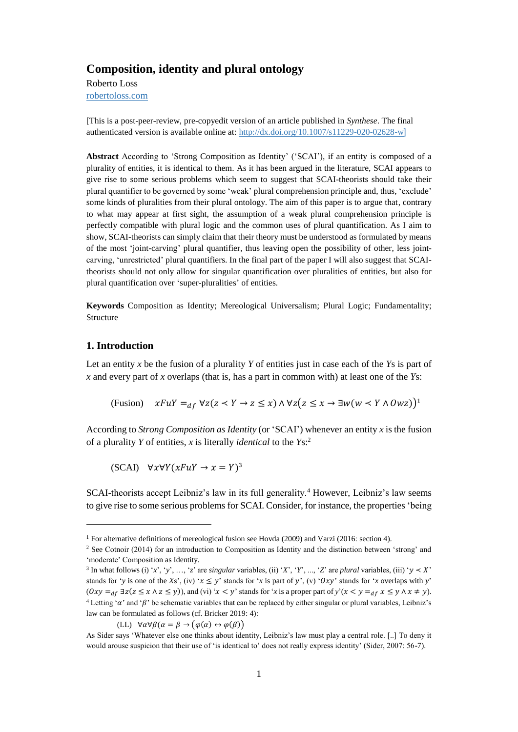# **Composition, identity and plural ontology**

Roberto Loss [robertoloss.com](https://d.docs.live.net/4273a94b8253ce06/Documents/aaa-GENERAL/WORK/Scrittura%20new2/0002_Archivio/2019-02%20Atomic%20CAI/robertoloss.com)

[This is a post-peer-review, pre-copyedit version of an article published in *Synthese*. The final authenticated version is available online at[: http://dx.doi.org/10.1007/s11229-020-02628-w](http://dx.doi.org/10.1007/s11229-020-02628-w)]

**Abstract** According to 'Strong Composition as Identity' ('SCAI'), if an entity is composed of a plurality of entities, it is identical to them. As it has been argued in the literature, SCAI appears to give rise to some serious problems which seem to suggest that SCAI-theorists should take their plural quantifier to be governed by some 'weak' plural comprehension principle and, thus, 'exclude' some kinds of pluralities from their plural ontology. The aim of this paper is to argue that, contrary to what may appear at first sight, the assumption of a weak plural comprehension principle is perfectly compatible with plural logic and the common uses of plural quantification. As I aim to show, SCAI-theorists can simply claim that their theory must be understood as formulated by means of the most 'joint-carving' plural quantifier, thus leaving open the possibility of other, less jointcarving, 'unrestricted' plural quantifiers. In the final part of the paper I will also suggest that SCAItheorists should not only allow for singular quantification over pluralities of entities, but also for plural quantification over 'super-pluralities' of entities.

**Keywords** Composition as Identity; Mereological Universalism; Plural Logic; Fundamentality; Structure

## **1. Introduction**

l

Let an entity *x* be the fusion of a plurality *Y* of entities just in case each of the *Y*s is part of *x* and every part of *x* overlaps (that is, has a part in common with) at least one of the *Y*s:

(Fusion)  $xFuY =_{df} \forall z(z \prec Y \rightarrow z \leq x) \land \forall z(z \leq x \rightarrow \exists w(w \prec Y \land \textit{0}wz))$ <sup>1</sup>

According to *Strong Composition as Identity* (or 'SCAI') whenever an entity *x* is the fusion of a plurality *Y* of entities, *x* is literally *identical* to the *Y*s: 2

 $(SCAI) \quad \forall x \forall Y (xFuY \rightarrow x = Y)^3$ 

SCAI-theorists accept Leibniz's law in its full generality.<sup>4</sup> However, Leibniz's law seems to give rise to some serious problems for SCAI. Consider, for instance, the properties 'being

(LL)  $\forall \alpha \forall \beta (\alpha = \beta \rightarrow (\varphi(\alpha) \leftrightarrow \varphi(\beta)))$ 

<sup>&</sup>lt;sup>1</sup> For alternative definitions of mereological fusion see Hovda (2009) and Varzi (2016: section 4).

<sup>&</sup>lt;sup>2</sup> See Cotnoir (2014) for an introduction to Composition as Identity and the distinction between 'strong' and 'moderate' Composition as Identity.

<sup>&</sup>lt;sup>3</sup> In what follows (i) '*x*', '*y*', ..., '*z*' are *singular* variables, (ii) '*X*', '*Y*', ..., '*Z*' are *plural* variables, (iii) '*y* < *X*' stands for '*y* is one of the *Xs*', (iv) ' $x \le y$ ' stands for '*x* is part of *y*', (v) ' $Oxy$ ' stands for '*x* overlaps with *y*'  $(0xy =_{df} \exists z(z \le x \land z \le y))$ , and (vi) ' $x < y$ ' stands for '*x* is a proper part of  $y'(x < y =_{df} x \le y \land x \ne y)$ . <sup>4</sup> Letting ' $\alpha$ ' and ' $\beta$ ' be schematic variables that can be replaced by either singular or plural variables, Leibniz's law can be formulated as follows (cf. Bricker 2019: 4):

As Sider says 'Whatever else one thinks about identity, Leibniz's law must play a central role. [..] To deny it would arouse suspicion that their use of 'is identical to' does not really express identity' (Sider, 2007: 56-7).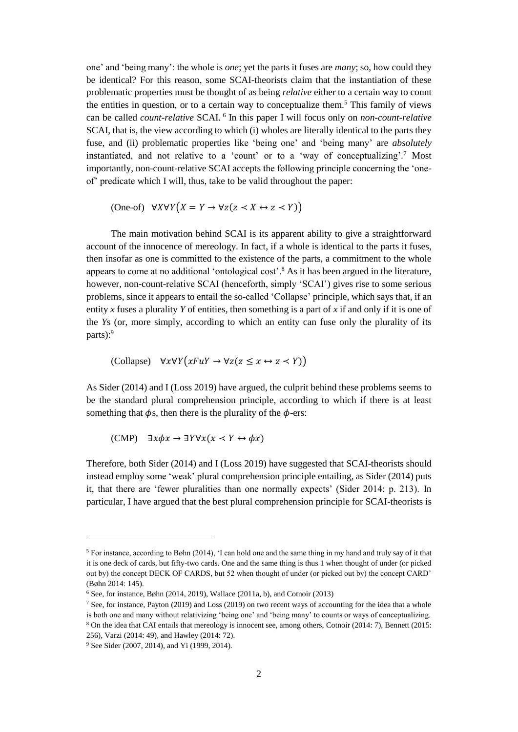one' and 'being many': the whole is *one*; yet the parts it fuses are *many*; so, how could they be identical? For this reason, some SCAI-theorists claim that the instantiation of these problematic properties must be thought of as being *relative* either to a certain way to count the entities in question, or to a certain way to conceptualize them. <sup>5</sup> This family of views can be called *count-relative* SCAI. <sup>6</sup> In this paper I will focus only on *non-count-relative*  SCAI, that is, the view according to which (i) wholes are literally identical to the parts they fuse, and (ii) problematic properties like 'being one' and 'being many' are *absolutely* instantiated, and not relative to a 'count' or to a 'way of conceptualizing'.<sup>7</sup> Most importantly, non-count-relative SCAI accepts the following principle concerning the 'oneof' predicate which I will, thus, take to be valid throughout the paper:

$$
(\text{One-of)} \quad \forall X \forall Y \big( X = Y \to \forall z (z \prec X \leftrightarrow z \prec Y) \big)
$$

The main motivation behind SCAI is its apparent ability to give a straightforward account of the innocence of mereology. In fact, if a whole is identical to the parts it fuses, then insofar as one is committed to the existence of the parts, a commitment to the whole appears to come at no additional 'ontological cost'.<sup>8</sup> As it has been argued in the literature, however, non-count-relative SCAI (henceforth, simply 'SCAI') gives rise to some serious problems, since it appears to entail the so-called 'Collapse' principle, which says that, if an entity *x* fuses a plurality *Y* of entities, then something is a part of *x* if and only if it is one of the *Y*s (or, more simply, according to which an entity can fuse only the plurality of its parts):<sup>9</sup>

$$
(\text{Collapse}) \quad \forall x \forall Y \big( x F u Y \rightarrow \forall z (z \le x \leftrightarrow z \prec Y) \big)
$$

As Sider (2014) and I (Loss 2019) have argued, the culprit behind these problems seems to be the standard plural comprehension principle, according to which if there is at least something that  $\phi$ s, then there is the plurality of the  $\phi$ -ers:

$$
(CMP) \quad \exists x \phi x \rightarrow \exists Y \forall x (x \prec Y \leftrightarrow \phi x)
$$

Therefore, both Sider (2014) and I (Loss 2019) have suggested that SCAI-theorists should instead employ some 'weak' plural comprehension principle entailing, as Sider (2014) puts it, that there are 'fewer pluralities than one normally expects' (Sider 2014: p. 213). In particular, I have argued that the best plural comprehension principle for SCAI-theorists is

<sup>5</sup> For instance, according to Bøhn (2014), 'I can hold one and the same thing in my hand and truly say of it that it is one deck of cards, but fifty-two cards. One and the same thing is thus 1 when thought of under (or picked out by) the concept DECK OF CARDS, but 52 when thought of under (or picked out by) the concept CARD' (Bøhn 2014: 145).

 $6$  See, for instance, Bøhn (2014, 2019), Wallace (2011a, b), and Cotnoir (2013)

<sup>7</sup> See, for instance, Payton (2019) and Loss (2019) on two recent ways of accounting for the idea that a whole is both one and many without relativizing 'being one' and 'being many' to counts or ways of conceptualizing. <sup>8</sup> On the idea that CAI entails that mereology is innocent see, among others, Cotnoir (2014: 7), Bennett (2015: 256), Varzi (2014: 49), and Hawley (2014: 72).

<sup>9</sup> See Sider (2007, 2014), and Yi (1999, 2014).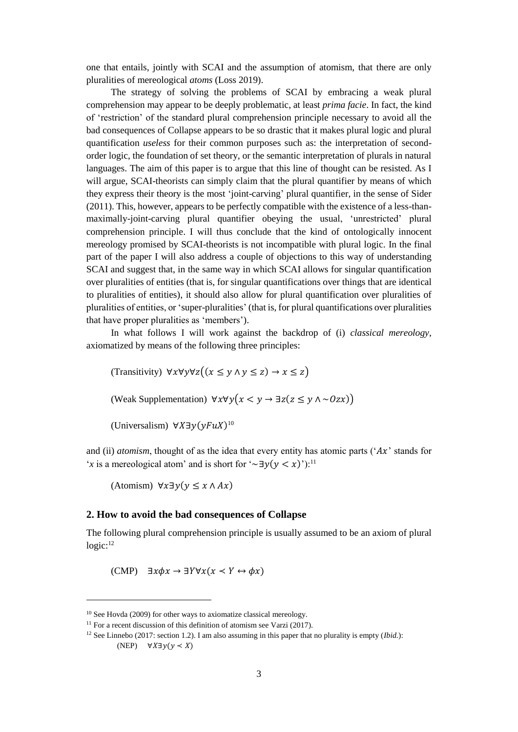one that entails, jointly with SCAI and the assumption of atomism, that there are only pluralities of mereological *atoms* (Loss 2019).

The strategy of solving the problems of SCAI by embracing a weak plural comprehension may appear to be deeply problematic, at least *prima facie*. In fact, the kind of 'restriction' of the standard plural comprehension principle necessary to avoid all the bad consequences of Collapse appears to be so drastic that it makes plural logic and plural quantification *useless* for their common purposes such as: the interpretation of secondorder logic, the foundation of set theory, or the semantic interpretation of plurals in natural languages. The aim of this paper is to argue that this line of thought can be resisted. As I will argue, SCAI-theorists can simply claim that the plural quantifier by means of which they express their theory is the most 'joint-carving' plural quantifier, in the sense of Sider (2011). This, however, appears to be perfectly compatible with the existence of a less-thanmaximally-joint-carving plural quantifier obeying the usual, 'unrestricted' plural comprehension principle. I will thus conclude that the kind of ontologically innocent mereology promised by SCAI-theorists is not incompatible with plural logic. In the final part of the paper I will also address a couple of objections to this way of understanding SCAI and suggest that, in the same way in which SCAI allows for singular quantification over pluralities of entities (that is, for singular quantifications over things that are identical to pluralities of entities), it should also allow for plural quantification over pluralities of pluralities of entities, or 'super-pluralities' (that is, for plural quantifications over pluralities that have proper pluralities as 'members').

In what follows I will work against the backdrop of (i) *classical mereology*, axiomatized by means of the following three principles:

(Transitivity)  $\forall x \forall y \forall z ((x \le y \land y \le z) \rightarrow x \le z)$ 

(Weak Supplementation)  $\forall x \forall y (x \leq y \rightarrow \exists z (z \leq y \land \sim 0zx))$ 

(Universalism)  $\forall X \exists y (y F u X)^{10}$ 

and (ii) *atomism*, thought of as the idea that every entity has atomic parts (' $Ax$ ' stands for '*x* is a mereological atom' and is short for '~∃ $y(y \le x)$ '):<sup>11</sup>

(Atomism)  $\forall x \exists y (y \le x \land Ax)$ 

## **2. How to avoid the bad consequences of Collapse**

The following plural comprehension principle is usually assumed to be an axiom of plural logic: 12

(CMP)  $\exists x \phi x \rightarrow \exists Y \forall x (x \leq Y \leftrightarrow \phi x)$ 

 $10$  See Hovda (2009) for other ways to axiomatize classical mereology.

 $11$  For a recent discussion of this definition of atomism see Varzi (2017).

<sup>12</sup> See Linnebo (2017: section 1.2). I am also assuming in this paper that no plurality is empty (*Ibid.*):  $(NEP)$   $\forall X \exists y (y \prec X)$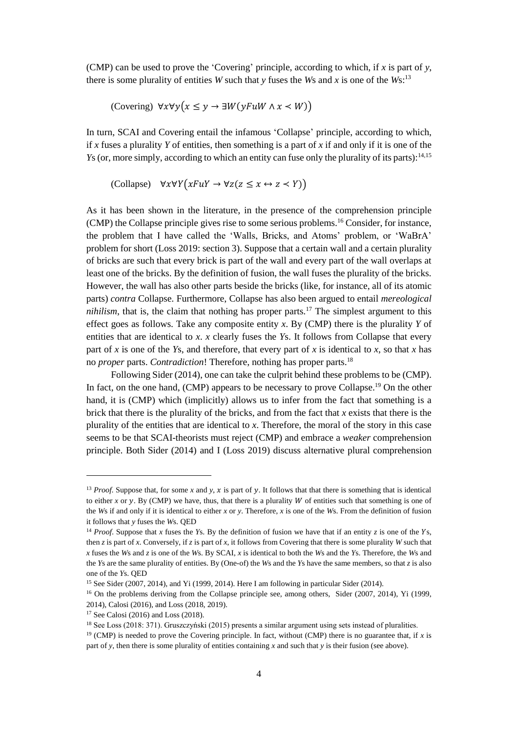(CMP) can be used to prove the 'Covering' principle, according to which, if *x* is part of *y*, there is some plurality of entities *W* such that *y* fuses the *W*s and *x* is one of the *W*s:<sup>13</sup>

(Covering) 
$$
\forall x \forall y (x \leq y \rightarrow \exists W (y \in \mathbb{R} \land x < W))
$$

In turn, SCAI and Covering entail the infamous 'Collapse' principle, according to which, if x fuses a plurality Y of entities, then something is a part of x if and only if it is one of the *Ys* (or, more simply, according to which an entity can fuse only the plurality of its parts):<sup>14,15</sup>

$$
(\text{Collapse}) \quad \forall x \forall Y \big( x F u Y \rightarrow \forall z (z \le x \leftrightarrow z \prec Y) \big)
$$

As it has been shown in the literature, in the presence of the comprehension principle (CMP) the Collapse principle gives rise to some serious problems.<sup>16</sup> Consider, for instance, the problem that I have called the 'Walls, Bricks, and Atoms' problem, or 'WaBrA' problem for short (Loss 2019: section 3). Suppose that a certain wall and a certain plurality of bricks are such that every brick is part of the wall and every part of the wall overlaps at least one of the bricks. By the definition of fusion, the wall fuses the plurality of the bricks. However, the wall has also other parts beside the bricks (like, for instance, all of its atomic parts) *contra* Collapse. Furthermore, Collapse has also been argued to entail *mereological nihilism*, that is, the claim that nothing has proper parts.<sup>17</sup> The simplest argument to this effect goes as follows. Take any composite entity *x*. By (CMP) there is the plurality *Y* of entities that are identical to *x*. *x* clearly fuses the *Y*s. It follows from Collapse that every part of *x* is one of the *Y*s, and therefore, that every part of *x* is identical to *x*, so that *x* has no *proper* parts. *Contradiction*! Therefore, nothing has proper parts.<sup>18</sup>

Following Sider (2014), one can take the culprit behind these problems to be (CMP). In fact, on the one hand,  $(CMP)$  appears to be necessary to prove Collapse.<sup>19</sup> On the other hand, it is (CMP) which (implicitly) allows us to infer from the fact that something is a brick that there is the plurality of the bricks, and from the fact that *x* exists that there is the plurality of the entities that are identical to *x*. Therefore, the moral of the story in this case seems to be that SCAI-theorists must reject (CMP) and embrace a *weaker* comprehension principle. Both Sider (2014) and I (Loss 2019) discuss alternative plural comprehension

<sup>&</sup>lt;sup>13</sup> *Proof.* Suppose that, for some x and y, x is part of y. It follows that that there is something that is identical to either *x* or *y*. By (CMP) we have, thus, that there is a plurality  $W$  of entities such that something is one of the *W*s if and only if it is identical to either *x* or *y*. Therefore, *x* is one of the *W*s. From the definition of fusion it follows that *y* fuses the *W*s. QED

<sup>&</sup>lt;sup>14</sup> *Proof.* Suppose that *x* fuses the *Y*s. By the definition of fusion we have that if an entity *z* is one of the *Y*s. then *z* is part of *x*. Conversely, if *z* is part of *x*, it follows from Covering that there is some plurality *W* such that *x* fuses the *W*s and *z* is one of the *W*s. By SCAI, *x* is identical to both the *W*s and the *Y*s. Therefore, the *W*s and the *Y*s are the same plurality of entities. By (One-of) the *W*s and the *Y*s have the same members, so that *z* is also one of the *Y*s. QED

<sup>&</sup>lt;sup>15</sup> See Sider (2007, 2014), and Yi (1999, 2014). Here I am following in particular Sider (2014).

<sup>&</sup>lt;sup>16</sup> On the problems deriving from the Collapse principle see, among others, Sider (2007, 2014), Yi (1999, 2014), Calosi (2016), and Loss (2018, 2019).

<sup>17</sup> See Calosi (2016) and Loss (2018).

<sup>18</sup> See Loss (2018: 371). Gruszczyński (2015) presents a similar argument using sets instead of pluralities.

<sup>&</sup>lt;sup>19</sup> (CMP) is needed to prove the Covering principle. In fact, without (CMP) there is no guarantee that, if *x* is part of *y*, then there is some plurality of entities containing *x* and such that *y* is their fusion (see above).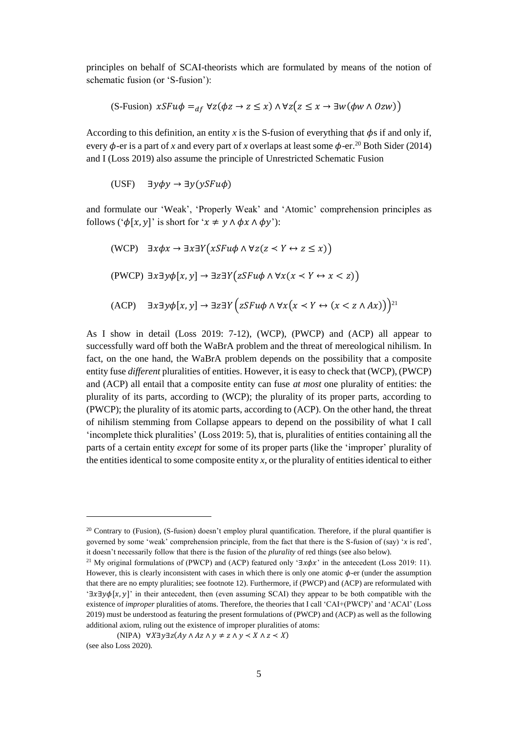principles on behalf of SCAI-theorists which are formulated by means of the notion of schematic fusion (or 'S-fusion'):

$$
(S\text{-Fusion})\ xSFu\phi =_{df} \forall z(\phi z \to z \leq x) \land \forall z(z \leq x \to \exists w(\phi w \land \theta zw))
$$

According to this definition, an entity x is the S-fusion of everything that  $\phi$ s if and only if, every  $\phi$ -er is a part of *x* and every part of *x* overlaps at least some  $\phi$ -er.<sup>20</sup> Both Sider (2014) and I (Loss 2019) also assume the principle of Unrestricted Schematic Fusion

(USF)  $\exists y \phi y \rightarrow \exists y (y S F u \phi)$ 

and formulate our 'Weak', 'Properly Weak' and 'Atomic' comprehension principles as follows (' $\phi[x, y]'$  is short for ' $x \neq y \land \phi x \land \phi y$ '):

$$
\begin{aligned} \text{(WCP)} \quad &\exists x \phi x \to \exists x \exists Y \big( x S F u \phi \land \forall z (z \prec Y \leftrightarrow z \le x) \big) \\ \text{(PWCP)} \quad &\exists x \exists y \phi [x, y] \to \exists z \exists Y \big( z S F u \phi \land \forall x (x \prec Y \leftrightarrow x \le z) \big) \\ \text{(ACP)} \quad &\exists x \exists y \phi [x, y] \to \exists z \exists Y \big( z S F u \phi \land \forall x (x \prec Y \leftrightarrow (x \le z \land Ax)) \big)^{21} \end{aligned}
$$

As I show in detail (Loss 2019: 7-12), (WCP), (PWCP) and (ACP) all appear to successfully ward off both the WaBrA problem and the threat of mereological nihilism. In fact, on the one hand, the WaBrA problem depends on the possibility that a composite entity fuse *different* pluralities of entities. However, it is easy to check that (WCP), (PWCP) and (ACP) all entail that a composite entity can fuse *at most* one plurality of entities: the plurality of its parts, according to (WCP); the plurality of its proper parts, according to (PWCP); the plurality of its atomic parts, according to (ACP). On the other hand, the threat of nihilism stemming from Collapse appears to depend on the possibility of what I call 'incomplete thick pluralities' (Loss 2019: 5), that is, pluralities of entities containing all the parts of a certain entity *except* for some of its proper parts (like the 'improper' plurality of the entities identical to some composite entity *x*, or the plurality of entities identical to either

<sup>&</sup>lt;sup>20</sup> Contrary to (Fusion), (S-fusion) doesn't employ plural quantification. Therefore, if the plural quantifier is governed by some 'weak' comprehension principle, from the fact that there is the S-fusion of (say) '*x* is red', it doesn't necessarily follow that there is the fusion of the *plurality* of red things (see also below).

<sup>&</sup>lt;sup>21</sup> My original formulations of (PWCP) and (ACP) featured only ' $\exists x \phi x$ ' in the antecedent (Loss 2019: 11). However, this is clearly inconsistent with cases in which there is only one atomic  $\phi$ -er (under the assumption that there are no empty pluralities; see footnote 12). Furthermore, if (PWCP) and (ACP) are reformulated with '∃ $x \exists y \phi[x, y]'$  in their antecedent, then (even assuming SCAI) they appear to be both compatible with the existence of *improper* pluralities of atoms. Therefore, the theories that I call 'CAI+(PWCP)' and 'ACAI' (Loss 2019) must be understood as featuring the present formulations of (PWCP) and (ACP) as well as the following additional axiom, ruling out the existence of improper pluralities of atoms:

<sup>(</sup>NIPA)  $\forall X \exists y \exists z (Ay \land Az \land y \neq z \land y \prec X \land z \prec X)$ (see also Loss 2020).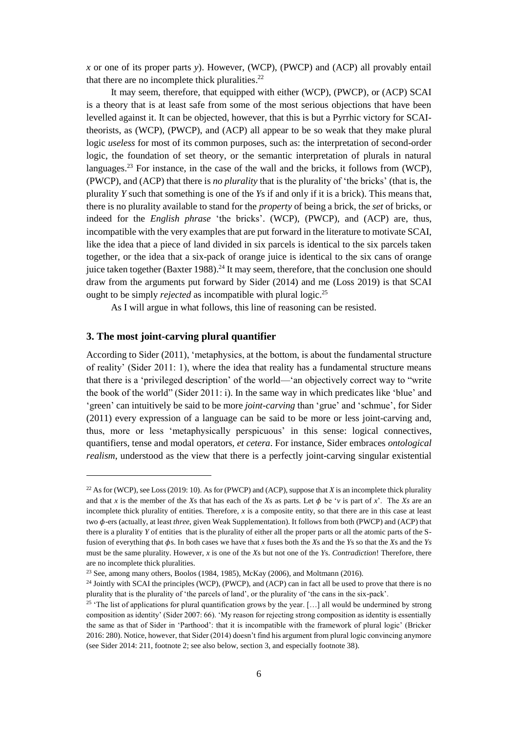*x* or one of its proper parts *y*). However, (WCP), (PWCP) and (ACP) all provably entail that there are no incomplete thick pluralities.<sup>22</sup>

It may seem, therefore, that equipped with either (WCP), (PWCP), or (ACP) SCAI is a theory that is at least safe from some of the most serious objections that have been levelled against it. It can be objected, however, that this is but a Pyrrhic victory for SCAItheorists, as (WCP), (PWCP), and (ACP) all appear to be so weak that they make plural logic *useless* for most of its common purposes, such as: the interpretation of second-order logic, the foundation of set theory, or the semantic interpretation of plurals in natural languages.<sup>23</sup> For instance, in the case of the wall and the bricks, it follows from (WCP), (PWCP), and (ACP) that there is *no plurality* that is the plurality of 'the bricks' (that is, the plurality *Y* such that something is one of the *Y*s if and only if it is a brick). This means that, there is no plurality available to stand for the *property* of being a brick, the *set* of bricks, or indeed for the *English phrase* 'the bricks'. (WCP), (PWCP), and (ACP) are, thus, incompatible with the very examples that are put forward in the literature to motivate SCAI, like the idea that a piece of land divided in six parcels is identical to the six parcels taken together, or the idea that a six-pack of orange juice is identical to the six cans of orange juice taken together (Baxter 1988).<sup>24</sup> It may seem, therefore, that the conclusion one should draw from the arguments put forward by Sider (2014) and me (Loss 2019) is that SCAI ought to be simply *rejected* as incompatible with plural logic.<sup>25</sup>

As I will argue in what follows, this line of reasoning can be resisted.

## **3. The most joint-carving plural quantifier**

l

According to Sider (2011), 'metaphysics, at the bottom, is about the fundamental structure of reality' (Sider 2011: 1), where the idea that reality has a fundamental structure means that there is a 'privileged description' of the world—'an objectively correct way to "write the book of the world" (Sider 2011: i). In the same way in which predicates like 'blue' and 'green' can intuitively be said to be more *joint-carving* than 'grue' and 'schmue', for Sider (2011) every expression of a language can be said to be more or less joint-carving and, thus, more or less 'metaphysically perspicuous' in this sense: logical connectives, quantifiers, tense and modal operators, *et cetera*. For instance, Sider embraces *ontological realism*, understood as the view that there is a perfectly joint-carving singular existential

<sup>22</sup> As for (WCP), see Loss (2019: 10). As for (PWCP) and (ACP), suppose that *X* is an incomplete thick plurality and that *x* is the member of the *Xs* that has each of the *Xs* as parts. Let  $\phi$  be '*v* is part of *x*'. The *Xs* are an incomplete thick plurality of entities. Therefore, *x* is a composite entity, so that there are in this case at least two  $\phi$ -ers (actually, at least *three*, given Weak Supplementation). It follows from both (PWCP) and (ACP) that there is a plurality *Y* of entities that is the plurality of either all the proper parts or all the atomic parts of the Sfusion of everything that  $\phi$ s. In both cases we have that *x* fuses both the *X*s and the *Y*s so that the *X*s and the *Ys* must be the same plurality. However, *x* is one of the *X*s but not one of the *Y*s. *Contradiction*! Therefore, there are no incomplete thick pluralities.

<sup>&</sup>lt;sup>23</sup> See, among many others, Boolos (1984, 1985), McKay (2006), and Moltmann (2016).

<sup>&</sup>lt;sup>24</sup> Jointly with SCAI the principles (WCP), (PWCP), and (ACP) can in fact all be used to prove that there is no plurality that is the plurality of 'the parcels of land', or the plurality of 'the cans in the six-pack'.

<sup>&</sup>lt;sup>25</sup> 'The list of applications for plural quantification grows by the year. [...] all would be undermined by strong composition as identity' (Sider 2007: 66). 'My reason for rejecting strong composition as identity is essentially the same as that of Sider in 'Parthood': that it is incompatible with the framework of plural logic' (Bricker 2016: 280). Notice, however, that Sider (2014) doesn't find his argument from plural logic convincing anymore (see Sider 2014: 211, footnote 2; see also below, section 3, and especially footnote 38).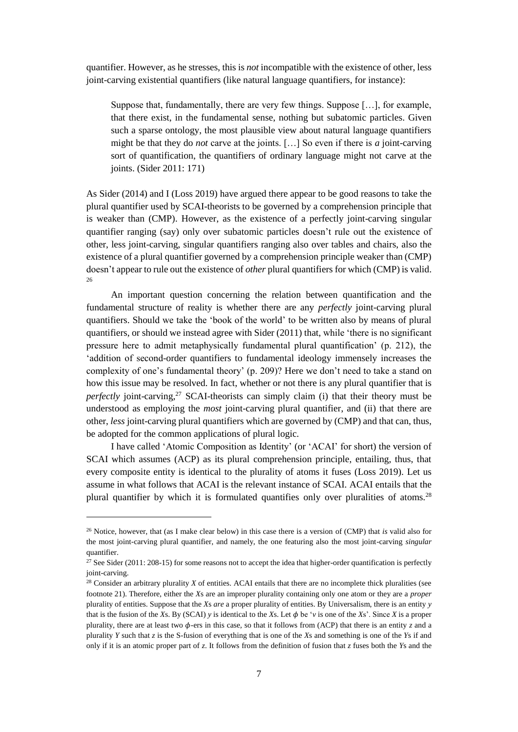quantifier. However, as he stresses, this is *not* incompatible with the existence of other, less joint-carving existential quantifiers (like natural language quantifiers, for instance):

Suppose that, fundamentally, there are very few things. Suppose […], for example, that there exist, in the fundamental sense, nothing but subatomic particles. Given such a sparse ontology, the most plausible view about natural language quantifiers might be that they do *not* carve at the joints. […] So even if there is *a* joint-carving sort of quantification, the quantifiers of ordinary language might not carve at the joints. (Sider 2011: 171)

As Sider (2014) and I (Loss 2019) have argued there appear to be good reasons to take the plural quantifier used by SCAI-theorists to be governed by a comprehension principle that is weaker than (CMP). However, as the existence of a perfectly joint-carving singular quantifier ranging (say) only over subatomic particles doesn't rule out the existence of other, less joint-carving, singular quantifiers ranging also over tables and chairs, also the existence of a plural quantifier governed by a comprehension principle weaker than (CMP) doesn't appear to rule out the existence of *other* plural quantifiers for which (CMP) is valid. 26

An important question concerning the relation between quantification and the fundamental structure of reality is whether there are any *perfectly* joint-carving plural quantifiers. Should we take the 'book of the world' to be written also by means of plural quantifiers, or should we instead agree with Sider (2011) that, while 'there is no significant pressure here to admit metaphysically fundamental plural quantification' (p. 212), the 'addition of second-order quantifiers to fundamental ideology immensely increases the complexity of one's fundamental theory' (p. 209)? Here we don't need to take a stand on how this issue may be resolved. In fact, whether or not there is any plural quantifier that is *perfectly* joint-carving, <sup>27</sup> SCAI-theorists can simply claim (i) that their theory must be understood as employing the *most* joint-carving plural quantifier, and (ii) that there are other, *less* joint-carving plural quantifiers which are governed by (CMP) and that can, thus, be adopted for the common applications of plural logic.

I have called 'Atomic Composition as Identity' (or 'ACAI' for short) the version of SCAI which assumes (ACP) as its plural comprehension principle, entailing, thus, that every composite entity is identical to the plurality of atoms it fuses (Loss 2019). Let us assume in what follows that ACAI is the relevant instance of SCAI. ACAI entails that the plural quantifier by which it is formulated quantifies only over pluralities of atoms.<sup>28</sup>

 $\overline{\phantom{a}}$ 

<sup>26</sup> Notice, however, that (as I make clear below) in this case there is a version of (CMP) that *is* valid also for the most joint-carving plural quantifier, and namely, the one featuring also the most joint-carving *singular* quantifier.

 $27$  See Sider (2011: 208-15) for some reasons not to accept the idea that higher-order quantification is perfectly joint-carving.

<sup>&</sup>lt;sup>28</sup> Consider an arbitrary plurality *X* of entities. ACAI entails that there are no incomplete thick pluralities (see footnote 21). Therefore, either the *X*s are an improper plurality containing only one atom or they are a *proper* plurality of entities. Suppose that the *X*s *are* a proper plurality of entities. By Universalism, there is an entity *y* that is the fusion of the *X*s. By (SCAI) *y* is identical to the *X*s. Let  $\phi$  be '*v* is one of the *Xs*'. Since *X* is a proper plurality, there are at least two  $\phi$ -ers in this case, so that it follows from (ACP) that there is an entity *z* and a plurality *Y* such that *z* is the S-fusion of everything that is one of the *X*s and something is one of the *Y*s if and only if it is an atomic proper part of *z*. It follows from the definition of fusion that *z* fuses both the *Y*s and the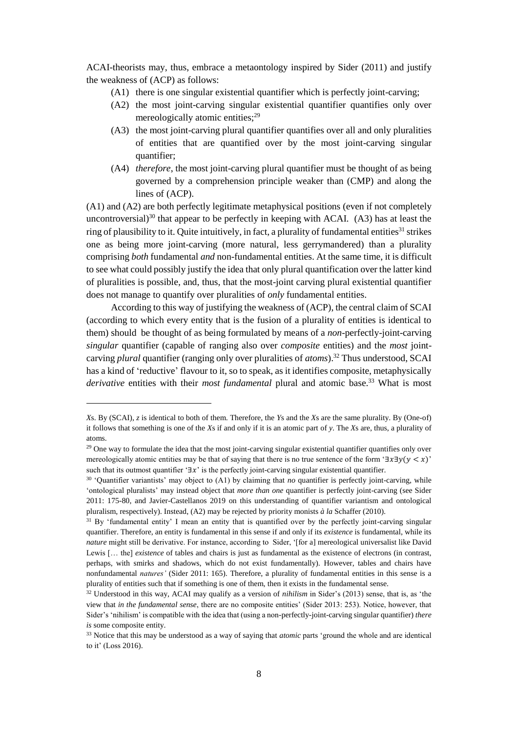ACAI-theorists may, thus, embrace a metaontology inspired by Sider (2011) and justify the weakness of (ACP) as follows:

- (A1) there is one singular existential quantifier which is perfectly joint-carving;
- (A2) the most joint-carving singular existential quantifier quantifies only over mereologically atomic entities;<sup>29</sup>
- (A3) the most joint-carving plural quantifier quantifies over all and only pluralities of entities that are quantified over by the most joint-carving singular quantifier;
- (A4) *therefore*, the most joint-carving plural quantifier must be thought of as being governed by a comprehension principle weaker than (CMP) and along the lines of (ACP).

(A1) and (A2) are both perfectly legitimate metaphysical positions (even if not completely uncontroversial)<sup>30</sup> that appear to be perfectly in keeping with ACAI.  $(A3)$  has at least the ring of plausibility to it. Quite intuitively, in fact, a plurality of fundamental entities<sup>31</sup> strikes one as being more joint-carving (more natural, less gerrymandered) than a plurality comprising *both* fundamental *and* non-fundamental entities. At the same time, it is difficult to see what could possibly justify the idea that only plural quantification over the latter kind of pluralities is possible, and, thus, that the most-joint carving plural existential quantifier does not manage to quantify over pluralities of *only* fundamental entities.

According to this way of justifying the weakness of (ACP), the central claim of SCAI (according to which every entity that is the fusion of a plurality of entities is identical to them) should be thought of as being formulated by means of a *non*-perfectly-joint-carving *singular* quantifier (capable of ranging also over *composite* entities) and the *most* jointcarving *plural* quantifier (ranging only over pluralities of *atoms*). <sup>32</sup> Thus understood, SCAI has a kind of 'reductive' flavour to it, so to speak, as it identifies composite, metaphysically *derivative* entities with their *most fundamental* plural and atomic base. <sup>33</sup> What is most

 $\overline{a}$ 

*X*s. By (SCAI), *z* is identical to both of them. Therefore, the *Y*s and the *X*s are the same plurality. By (One-of) it follows that something is one of the *X*s if and only if it is an atomic part of *y*. The *X*s are, thus, a plurality of atoms.

 $29$  One way to formulate the idea that the most joint-carving singular existential quantifier quantifies only over mereologically atomic entities may be that of saying that there is no true sentence of the form '∃ $x\exists y(y \leq x)$ ' such that its outmost quantifier ' $\exists x$ ' is the perfectly joint-carving singular existential quantifier.

<sup>30</sup> 'Quantifier variantists' may object to (A1) by claiming that *no* quantifier is perfectly joint-carving, while 'ontological pluralists' may instead object that *more than one* quantifier is perfectly joint-carving (see Sider 2011: 175-80, and Javier-Castellanos 2019 on this understanding of quantifier variantism and ontological pluralism, respectively). Instead, (A2) may be rejected by priority monists *à la* Schaffer (2010).

<sup>&</sup>lt;sup>31</sup> By 'fundamental entity' I mean an entity that is quantified over by the perfectly joint-carving singular quantifier. Therefore, an entity is fundamental in this sense if and only if its *existence* is fundamental, while its *nature* might still be derivative. For instance, according to Sider, '[for a] mereological universalist like David Lewis [... the] *existence* of tables and chairs is just as fundamental as the existence of electrons (in contrast, perhaps, with smirks and shadows, which do not exist fundamentally). However, tables and chairs have nonfundamental *natures'* (Sider 2011: 165). Therefore, a plurality of fundamental entities in this sense is a plurality of entities such that if something is one of them, then it exists in the fundamental sense.

<sup>32</sup> Understood in this way, ACAI may qualify as a version of *nihilism* in Sider's (2013) sense, that is, as 'the view that *in the fundamental sense*, there are no composite entities' (Sider 2013: 253). Notice, however, that Sider's 'nihilism' is compatible with the idea that (using a non-perfectly-joint-carving singular quantifier) *there is* some composite entity.

<sup>33</sup> Notice that this may be understood as a way of saying that *atomic* parts 'ground the whole and are identical to it' (Loss 2016).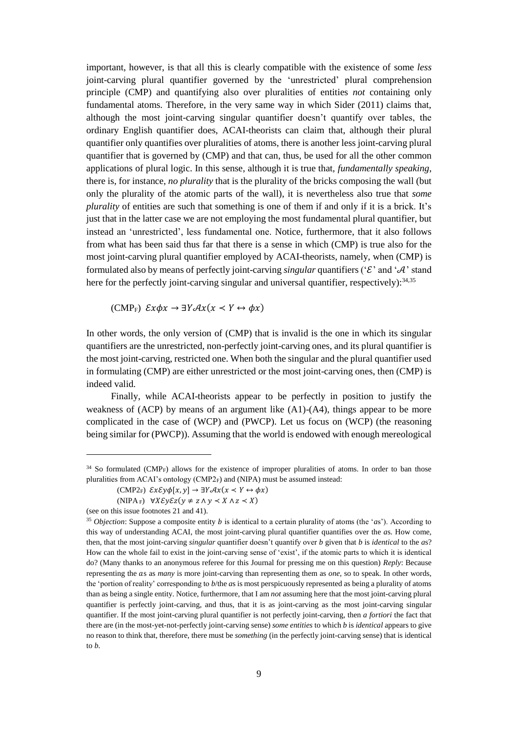important, however, is that all this is clearly compatible with the existence of some *less* joint-carving plural quantifier governed by the 'unrestricted' plural comprehension principle (CMP) and quantifying also over pluralities of entities *not* containing only fundamental atoms. Therefore, in the very same way in which Sider (2011) claims that, although the most joint-carving singular quantifier doesn't quantify over tables, the ordinary English quantifier does, ACAI-theorists can claim that, although their plural quantifier only quantifies over pluralities of atoms, there is another less joint-carving plural quantifier that is governed by (CMP) and that can, thus, be used for all the other common applications of plural logic. In this sense, although it is true that, *fundamentally speaking*, there is, for instance, *no plurality* that is the plurality of the bricks composing the wall (but only the plurality of the atomic parts of the wall), it is nevertheless also true that *some plurality* of entities are such that something is one of them if and only if it is a brick. It's just that in the latter case we are not employing the most fundamental plural quantifier, but instead an 'unrestricted', less fundamental one. Notice, furthermore, that it also follows from what has been said thus far that there is a sense in which (CMP) is true also for the most joint-carving plural quantifier employed by ACAI-theorists, namely, when (CMP) is formulated also by means of perfectly joint-carving *singular* quantifiers (' $\mathcal{E}'$ ' and ' $\mathcal{A}'$ ' stand here for the perfectly joint-carving singular and universal quantifier, respectively): $34,35$ 

 $(CMP_F) \mathcal{E} x \phi x \rightarrow \exists Y \mathcal{A} x (x \prec Y \leftrightarrow \phi x)$ 

In other words, the only version of (CMP) that is invalid is the one in which its singular quantifiers are the unrestricted, non-perfectly joint-carving ones, and its plural quantifier is the most joint-carving, restricted one. When both the singular and the plural quantifier used in formulating (CMP) are either unrestricted or the most joint-carving ones, then (CMP) is indeed valid.

Finally, while ACAI-theorists appear to be perfectly in position to justify the weakness of (ACP) by means of an argument like (A1)-(A4), things appear to be more complicated in the case of (WCP) and (PWCP). Let us focus on (WCP) (the reasoning being similar for (PWCP)). Assuming that the world is endowed with enough mereological

<sup>&</sup>lt;sup>34</sup> So formulated (CMP<sub>F</sub>) allows for the existence of improper pluralities of atoms. In order to ban those pluralities from ACAI's ontology (CMP2F) and (NIPA) must be assumed instead:

 $(CMP2_F) \ \mathcal{E}x\mathcal{E}y\phi[x, y] \rightarrow \exists Y\mathcal{A}x(x \leq Y \leftrightarrow \phi x)$ 

<sup>(</sup>NIPA<sub>F</sub>)  $\forall X \mathcal{E} \vee \mathcal{E} z(\nu \neq z \land \nu \prec X \land z \prec X)$ 

<sup>(</sup>see on this issue footnotes 21 and 41).

<sup>&</sup>lt;sup>35</sup> *Objection*: Suppose a composite entity *b* is identical to a certain plurality of atoms (the '*as*'). According to this way of understanding ACAI, the most joint-carving plural quantifier quantifies over the *a*s. How come, then, that the most joint-carving *singular* quantifier doesn't quantify over *b* given that *b* is *identical* to the *a*s? How can the whole fail to exist in the joint-carving sense of 'exist', if the atomic parts to which it is identical do? (Many thanks to an anonymous referee for this Journal for pressing me on this question) *Reply*: Because representing the as as *many* is more joint-carving than representing them as *one*, so to speak. In other words, the 'portion of reality' corresponding to *b*/the *a*s is most perspicuously represented as being a plurality of atoms than as being a single entity. Notice, furthermore, that I am *not* assuming here that the most joint-carving plural quantifier is perfectly joint-carving, and thus, that it is as joint-carving as the most joint-carving singular quantifier. If the most joint-carving plural quantifier is not perfectly joint-carving, then *a fortiori* the fact that there are (in the most-yet-not-perfectly joint-carving sense) *some entities* to which *b* is *identical* appears to give no reason to think that, therefore, there must be *something* (in the perfectly joint-carving sense) that is identical to *b*.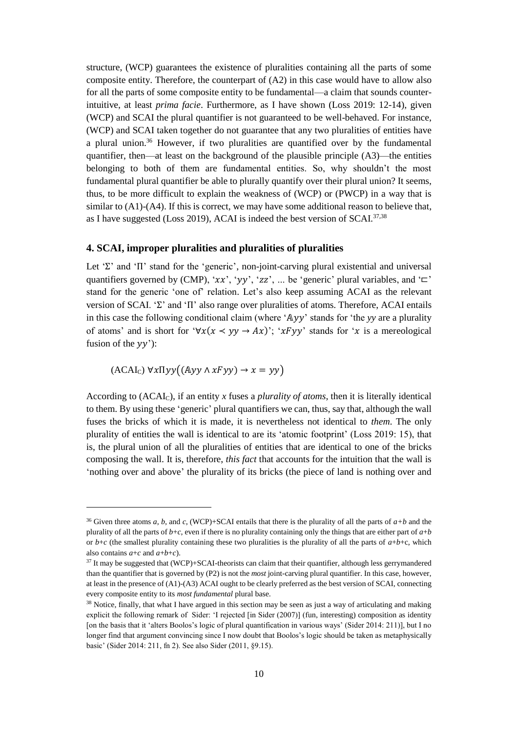structure, (WCP) guarantees the existence of pluralities containing all the parts of some composite entity. Therefore, the counterpart of (A2) in this case would have to allow also for all the parts of some composite entity to be fundamental—a claim that sounds counterintuitive, at least *prima facie*. Furthermore, as I have shown (Loss 2019: 12-14), given (WCP) and SCAI the plural quantifier is not guaranteed to be well-behaved. For instance, (WCP) and SCAI taken together do not guarantee that any two pluralities of entities have a plural union. <sup>36</sup> However, if two pluralities are quantified over by the fundamental quantifier, then—at least on the background of the plausible principle (A3)—the entities belonging to both of them are fundamental entities. So, why shouldn't the most fundamental plural quantifier be able to plurally quantify over their plural union? It seems, thus, to be more difficult to explain the weakness of (WCP) or (PWCP) in a way that is similar to  $(A1)$ - $(A4)$ . If this is correct, we may have some additional reason to believe that, as I have suggested (Loss 2019), ACAI is indeed the best version of SCAI. 37,38

## **4. SCAI, improper pluralities and pluralities of pluralities**

Let 'Σ' and 'Π' stand for the 'generic', non-joint-carving plural existential and universal quantifiers governed by (CMP), ' $xx'$ , ' $yy'$ , ' $zz'$ , ... be 'generic' plural variables, and ' $\sqsubset$ ' stand for the generic 'one of' relation. Let's also keep assuming ACAI as the relevant version of SCAI. 'Σ' and 'Π' also range over pluralities of atoms. Therefore, ACAI entails in this case the following conditional claim (where 'Ayy' stands for 'the *yy* are a plurality of atoms' and is short for ' $\forall x(x \leq y \lor \rightarrow Ax)$ '; ' $xFyy$ ' stands for 'x is a mereological fusion of the  $yy$ ":

 $(ACAI_C) \forall x \Pi y y ((Ayy \land xFyy) \rightarrow x = yy)$ 

l

According to (ACAIC), if an entity *x* fuses a *plurality of atoms*, then it is literally identical to them. By using these 'generic' plural quantifiers we can, thus, say that, although the wall fuses the bricks of which it is made, it is nevertheless not identical to *them*. The only plurality of entities the wall is identical to are its 'atomic footprint' (Loss 2019: 15), that is, the plural union of all the pluralities of entities that are identical to one of the bricks composing the wall. It is, therefore, *this fact* that accounts for the intuition that the wall is 'nothing over and above' the plurality of its bricks (the piece of land is nothing over and

<sup>&</sup>lt;sup>36</sup> Given three atoms *a*, *b*, and *c*, (WCP)+SCAI entails that there is the plurality of all the parts of  $a+b$  and the plurality of all the parts of  $b+c$ , even if there is no plurality containing only the things that are either part of  $a+b$ or  $b+c$  (the smallest plurality containing these two pluralities is the plurality of all the parts of  $a+b+c$ , which also contains  $a+c$  and  $a+b+c$ ).

<sup>37</sup> It may be suggested that (WCP)+SCAI-theorists can claim that their quantifier, although less gerrymandered than the quantifier that is governed by (P2) is not the *most* joint-carving plural quantifier. In this case, however, at least in the presence of (A1)-(A3) ACAI ought to be clearly preferred as the best version of SCAI, connecting every composite entity to its *most fundamental* plural base.

<sup>&</sup>lt;sup>38</sup> Notice, finally, that what I have argued in this section may be seen as just a way of articulating and making explicit the following remark of Sider: 'I rejected [in Sider (2007)] (fun, interesting) composition as identity [on the basis that it 'alters Boolos's logic of plural quantification in various ways' (Sider 2014: 211)], but I no longer find that argument convincing since I now doubt that Boolos's logic should be taken as metaphysically basic' (Sider 2014: 211, fn 2). See also Sider (2011, §9.15).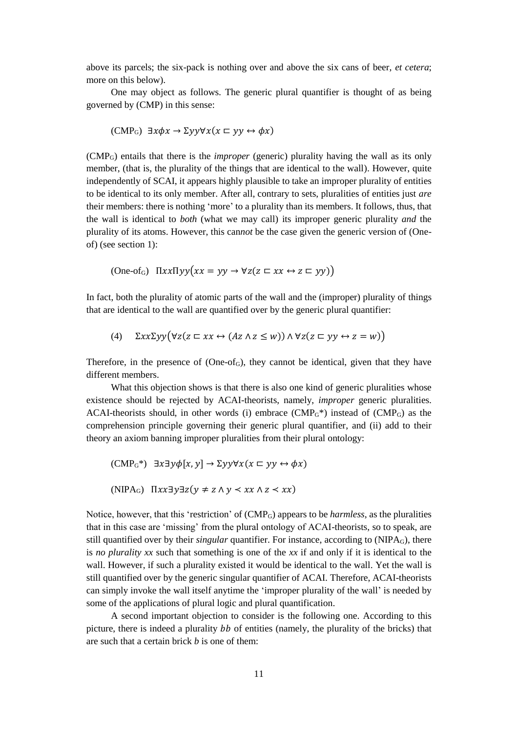above its parcels; the six-pack is nothing over and above the six cans of beer, *et cetera*; more on this below).

One may object as follows. The generic plural quantifier is thought of as being governed by (CMP) in this sense:

$$
(\text{CMP}_G) \exists x \phi x \rightarrow \Sigma y y \forall x (x \sqsubset y y \leftrightarrow \phi x)
$$

(CMPG) entails that there is the *improper* (generic) plurality having the wall as its only member, (that is, the plurality of the things that are identical to the wall). However, quite independently of SCAI, it appears highly plausible to take an improper plurality of entities to be identical to its only member. After all, contrary to sets, pluralities of entities just *are* their members: there is nothing 'more' to a plurality than its members. It follows, thus, that the wall is identical to *both* (what we may call) its improper generic plurality *and* the plurality of its atoms. However, this can*not* be the case given the generic version of (Oneof) (see section 1):

$$
(\text{One-of}_G) \quad \text{HxxHyy}(xx = yy \to \forall z(z \sqsubset xx \leftrightarrow z \sqsubset yy))
$$

In fact, both the plurality of atomic parts of the wall and the (improper) plurality of things that are identical to the wall are quantified over by the generic plural quantifier:

$$
(4) \quad \Sigma x x \Sigma y y (\forall z (z \sqsubset x x \leftrightarrow (Az \land z \le w)) \land \forall z (z \sqsubset y y \leftrightarrow z = w))
$$

Therefore, in the presence of  $(One-of<sub>G</sub>)$ , they cannot be identical, given that they have different members.

What this objection shows is that there is also one kind of generic pluralities whose existence should be rejected by ACAI-theorists, namely, *improper* generic pluralities. ACAI-theorists should, in other words (i) embrace  $(CMP<sub>G</sub>*)$  instead of  $(CMP<sub>G</sub>)$  as the comprehension principle governing their generic plural quantifier, and (ii) add to their theory an axiom banning improper pluralities from their plural ontology:

$$
(\text{CMP}_G^*) \exists x \exists y \phi[x, y] \to \Sigma y y \forall x (x \sqsubset yy \leftrightarrow \phi x)
$$
  

$$
(\text{NIPA}_G) \ \Pi xx \exists y \exists z (y \neq z \land y \prec xx \land z \prec xx)
$$

Notice, however, that this 'restriction' of (CMPG) appears to be *harmless*, as the pluralities that in this case are 'missing' from the plural ontology of ACAI-theorists, so to speak, are still quantified over by their *singular* quantifier. For instance, according to (NIPAG), there is *no plurality xx* such that something is one of the *xx* if and only if it is identical to the wall. However, if such a plurality existed it would be identical to the wall. Yet the wall is still quantified over by the generic singular quantifier of ACAI. Therefore, ACAI-theorists can simply invoke the wall itself anytime the 'improper plurality of the wall' is needed by some of the applications of plural logic and plural quantification.

A second important objection to consider is the following one. According to this picture, there is indeed a plurality  $bb$  of entities (namely, the plurality of the bricks) that are such that a certain brick *b* is one of them: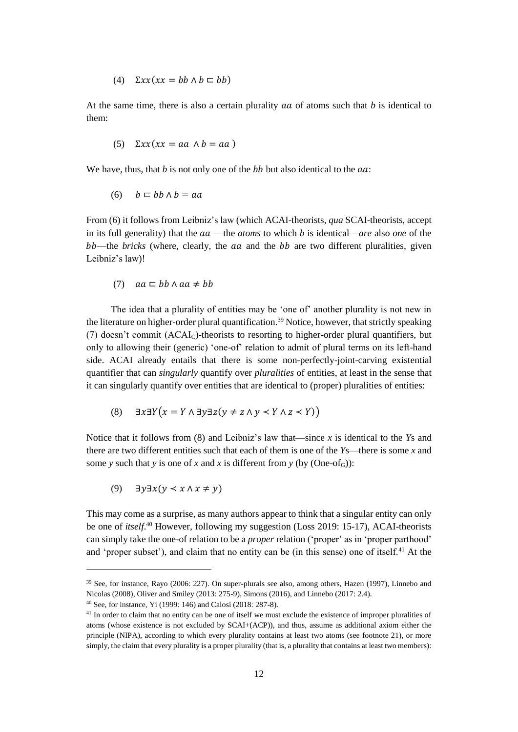(4)  $\Sigma xx(xx = bb \wedge b \sqsubset bb)$ 

At the same time, there is also a certain plurality  $aa$  of atoms such that  $b$  is identical to them:

$$
(5) \quad \Sigma x x (xx = aa \land b = aa)
$$

We have, thus, that  $b$  is not only one of the  $bb$  but also identical to the  $aa$ .

$$
(6) \quad b \sqsubset bb \land b = aa
$$

From (6) it follows from Leibniz's law (which ACAI-theorists, *qua* SCAI-theorists, accept in its full generality) that the  $aa$ —the *atoms* to which *b* is identical—*are* also *one* of the  $bb$ —the *bricks* (where, clearly, the  $aa$  and the  $bb$  are two different pluralities, given Leibniz's law)!

$$
(7) \quad aa \sqsubset bb \land aa \neq bb
$$

The idea that a plurality of entities may be 'one of' another plurality is not new in the literature on higher-order plural quantification.<sup>39</sup> Notice, however, that strictly speaking (7) doesn't commit (ACAIC)-theorists to resorting to higher-order plural quantifiers, but only to allowing their (generic) 'one-of' relation to admit of plural terms on its left-hand side. ACAI already entails that there is some non-perfectly-joint-carving existential quantifier that can *singularly* quantify over *pluralities* of entities, at least in the sense that it can singularly quantify over entities that are identical to (proper) pluralities of entities:

$$
(8) \quad \exists x \exists Y \big( x = Y \land \exists y \exists z \big( y \neq z \land y < Y \land z < Y \big) \big)
$$

Notice that it follows from (8) and Leibniz's law that—since *x* is identical to the *Y*s and there are two different entities such that each of them is one of the *Y*s—there is some *x* and some *y* such that *y* is one of *x* and *x* is different from *y* (by (One-of<sub>G</sub>)):

$$
(9) \quad \exists y \exists x (y \prec x \land x \neq y)
$$

 $\overline{\phantom{a}}$ 

This may come as a surprise, as many authors appear to think that a singular entity can only be one of *itself*.<sup>40</sup> However, following my suggestion (Loss 2019: 15-17), ACAI-theorists can simply take the one-of relation to be a *proper* relation ('proper' as in 'proper parthood' and 'proper subset'), and claim that no entity can be (in this sense) one of itself. $41$  At the

<sup>39</sup> See, for instance, Rayo (2006: 227). On super-plurals see also, among others, Hazen (1997), Linnebo and Nicolas (2008), Oliver and Smiley (2013: 275-9), Simons (2016), and Linnebo (2017: 2.4).

<sup>40</sup> See, for instance, Yi (1999: 146) and Calosi (2018: 287-8).

<sup>&</sup>lt;sup>41</sup> In order to claim that no entity can be one of itself we must exclude the existence of improper pluralities of atoms (whose existence is not excluded by SCAI+(ACP)), and thus, assume as additional axiom either the principle (NIPA), according to which every plurality contains at least two atoms (see footnote 21), or more simply, the claim that every plurality is a proper plurality (that is, a plurality that contains at least two members):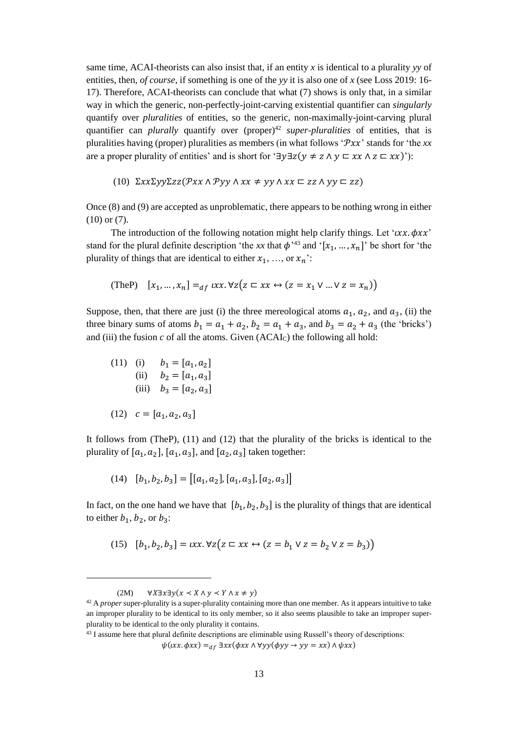same time, ACAI-theorists can also insist that, if an entity *x* is identical to a plurality *yy* of entities, then, *of course*, if something is one of the *yy* it is also one of *x* (see Loss 2019: 16- 17). Therefore, ACAI-theorists can conclude that what (7) shows is only that, in a similar way in which the generic, non-perfectly-joint-carving existential quantifier can *singularly* quantify over *pluralities* of entities, so the generic, non-maximally-joint-carving plural quantifier can *plurally* quantify over (proper)<sup>42</sup> *super-pluralities* of entities, that is pluralities having (proper) pluralities as members (in what follows ' $\mathcal{P}xx$ ' stands for 'the xx are a proper plurality of entities' and is short for ' $\exists y \exists z (y \neq z \land y \sqsubset xx \land z \sqsubset xx)$ '):

(10)  $\Sigma x x \Sigma y y \Sigma z z (\mathcal{P} x x \wedge \mathcal{P} y y \wedge x x \neq y y \wedge x x \sqsubset z z \wedge y y \sqsubset z z)$ 

Once (8) and (9) are accepted as unproblematic, there appears to be nothing wrong in either (10) or (7).

The introduction of the following notation might help clarify things. Let ' $uxx.$   $\phi xx'$ ' stand for the plural definite description 'the xx that  $\phi^{3,3}$  and '[ $x_1, ..., x_n$ ]' be short for 'the plurality of things that are identical to either  $x_1, ...,$  or  $x_n$ .

(TheP) 
$$
[x_1, ..., x_n] =_{df} txx. \forall z (z \sqsubset xx \leftrightarrow (z = x_1 \lor ... \lor z = x_n))
$$

Suppose, then, that there are just (i) the three mereological atoms  $a_1$ ,  $a_2$ , and  $a_3$ , (ii) the three binary sums of atoms  $b_1 = a_1 + a_2$ ,  $b_2 = a_1 + a_3$ , and  $b_3 = a_2 + a_3$  (the 'bricks') and (iii) the fusion  $c$  of all the atoms. Given (ACAI $c$ ) the following all hold:

(11) (i) 
$$
b_1 = [a_1, a_2]
$$
  
\n(ii)  $b_2 = [a_1, a_3]$   
\n(iii)  $b_3 = [a_2, a_3]$   
\n(12)  $c = [a_1, a_2, a_3]$ 

It follows from (TheP), (11) and (12) that the plurality of the bricks is identical to the plurality of  $[a_1, a_2]$ ,  $[a_1, a_3]$ , and  $[a_2, a_3]$  taken together:

$$
(14) \quad [b_1, b_2, b_3] = [[a_1, a_2], [a_1, a_3], [a_2, a_3]]
$$

In fact, on the one hand we have that  $[b_1, b_2, b_3]$  is the plurality of things that are identical to either  $b_1$ ,  $b_2$ , or  $b_3$ :

(15) 
$$
[b_1, b_2, b_3] = ux \cdot \forall z (z \sqsubset xx \leftrightarrow (z = b_1 \lor z = b_2 \lor z = b_3))
$$

l

<sup>43</sup> I assume here that plural definite descriptions are eliminable using Russell's theory of descriptions:

 $\psi(x x. \phi x x) =_{df} \exists x x (\phi x x \land \forall y y (\phi y y \rightarrow y y = x x) \land \psi x x)$ 

<sup>(2</sup>M)  $\forall X \exists x \exists y (x \prec X \land y \prec Y \land x \neq y)$ 

<sup>&</sup>lt;sup>42</sup> A *proper* super-plurality is a super-plurality containing more than one member. As it appears intuitive to take an improper plurality to be identical to its only member, so it also seems plausible to take an improper superplurality to be identical to the only plurality it contains.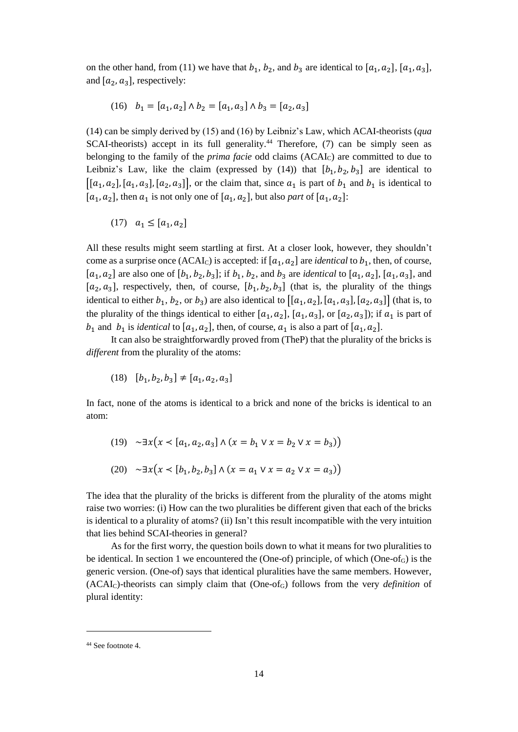on the other hand, from (11) we have that  $b_1$ ,  $b_2$ , and  $b_3$  are identical to [ $a_1$ ,  $a_2$ ], [ $a_1$ ,  $a_3$ ], and  $[a_2, a_3]$ , respectively:

(16) 
$$
b_1 = [a_1, a_2] \wedge b_2 = [a_1, a_3] \wedge b_3 = [a_2, a_3]
$$

(14) can be simply derived by (15) and (16) by Leibniz's Law, which ACAI-theorists (*qua* SCAI-theorists) accept in its full generality.<sup>44</sup> Therefore, (7) can be simply seen as belonging to the family of the *prima facie* odd claims (ACAIC) are committed to due to Leibniz's Law, like the claim (expressed by  $(14)$ ) that  $[b_1, b_2, b_3]$  are identical to  $[(a_1, a_2], [a_1, a_3], [a_2, a_3]]$ , or the claim that, since  $a_1$  is part of  $b_1$  and  $b_1$  is identical to  $[a_1, a_2]$ , then  $a_1$  is not only one of  $[a_1, a_2]$ , but also *part* of  $[a_1, a_2]$ :

$$
(17) \quad a_1 \leq [a_1,a_2]
$$

All these results might seem startling at first. At a closer look, however, they shouldn't come as a surprise once  $(ACAI_C)$  is accepted: if  $[a_1, a_2]$  are *identical* to  $b_1$ , then, of course,  $[a_1, a_2]$  are also one of  $[b_1, b_2, b_3]$ ; if  $b_1, b_2$ , and  $b_3$  are *identical* to  $[a_1, a_2]$ ,  $[a_1, a_3]$ , and  $[a_2, a_3]$ , respectively, then, of course,  $[b_1, b_2, b_3]$  (that is, the plurality of the things identical to either  $b_1$ ,  $b_2$ , or  $b_3$ ) are also identical to  $[[a_1, a_2], [a_1, a_3], [a_2, a_3]]$  (that is, to the plurality of the things identical to either  $[a_1, a_2]$ ,  $[a_1, a_3]$ , or  $[a_2, a_3]$ ; if  $a_1$  is part of  $b_1$  and  $b_1$  is *identical* to  $[a_1, a_2]$ , then, of course,  $a_1$  is also a part of  $[a_1, a_2]$ .

It can also be straightforwardly proved from (TheP) that the plurality of the bricks is *different* from the plurality of the atoms:

$$
(18) \quad [b_1, b_2, b_3] \neq [a_1, a_2, a_3]
$$

In fact, none of the atoms is identical to a brick and none of the bricks is identical to an atom:

(19) 
$$
\sim \exists x (x \le [a_1, a_2, a_3] \land (x = b_1 \lor x = b_2 \lor x = b_3))
$$
  
(20)  $\sim \exists x (x \le [b_1, b_2, b_3] \land (x = a_1 \lor x = a_2 \lor x = a_3))$ 

The idea that the plurality of the bricks is different from the plurality of the atoms might raise two worries: (i) How can the two pluralities be different given that each of the bricks is identical to a plurality of atoms? (ii) Isn't this result incompatible with the very intuition that lies behind SCAI-theories in general?

As for the first worry, the question boils down to what it means for two pluralities to be identical. In section 1 we encountered the (One-of) principle, of which (One-of<sub>G</sub>) is the generic version. (One-of) says that identical pluralities have the same members. However, (ACAIC)-theorists can simply claim that (One-ofG) follows from the very *definition* of plural identity:

<sup>44</sup> See footnote 4.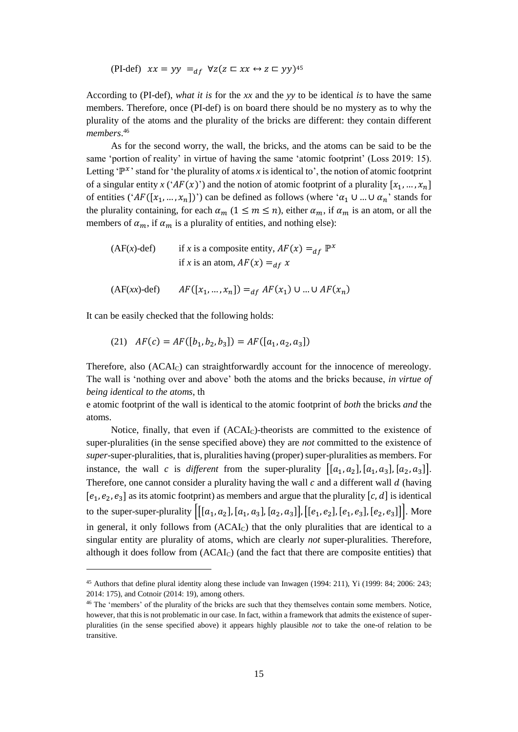(PI-def)  $xx = yy =_{df} \forall z (z \sqsubset xx \leftrightarrow z \sqsubset yy)^{45}$ 

According to (PI-def), *what it is* for the *xx* and the *yy* to be identical *is* to have the same members. Therefore, once (PI-def) is on board there should be no mystery as to why the plurality of the atoms and the plurality of the bricks are different: they contain different *members*. 46

As for the second worry, the wall, the bricks, and the atoms can be said to be the same 'portion of reality' in virtue of having the same 'atomic footprint' (Loss 2019: 15). Letting ' $\mathbb{P}^{x}$ ' stand for 'the plurality of atoms *x* is identical to', the notion of atomic footprint of a singular entity  $x$  (' $AF(x)$ ') and the notion of atomic footprint of a plurality  $[x_1, ..., x_n]$ of entities (' $AF([x_1, ..., x_n])$ ') can be defined as follows (where ' $\alpha_1 \cup ... \cup \alpha_n$ ' stands for the plurality containing, for each  $\alpha_m$  ( $1 \le m \le n$ ), either  $\alpha_m$ , if  $\alpha_m$  is an atom, or all the members of  $\alpha_m$ , if  $\alpha_m$  is a plurality of entities, and nothing else):

(AF(x)-def) if x is a composite entity, 
$$
AF(x) =_{df} \mathbb{P}^x
$$
  
if x is an atom,  $AF(x) =_{df} x$   
  
 $(AF(xx)-def)$   $AF([x_1, ..., x_n]) =_{df} AF(x_1) \cup ... \cup AF(x_n)$ 

It can be easily checked that the following holds:

 $\overline{\phantom{a}}$ 

(21)  $AF(c) = AF([b_1, b_2, b_3]) = AF([a_1, a_2, a_3])$ 

Therefore, also (ACAI<sub>C</sub>) can straightforwardly account for the innocence of mereology. The wall is 'nothing over and above' both the atoms and the bricks because, *in virtue of being identical to the atoms*, th

e atomic footprint of the wall is identical to the atomic footprint of *both* the bricks *and* the atoms.

Notice, finally, that even if (ACAI<sub>C</sub>)-theorists are committed to the existence of super-pluralities (in the sense specified above) they are *not* committed to the existence of *super*-super-pluralities, that is, pluralities having (proper) super-pluralities as members. For instance, the wall c is different from the super-plurality  $[[a_1, a_2], [a_1, a_3], [a_2, a_3]]$ . Therefore, one cannot consider a plurality having the wall  $c$  and a different wall  $d$  (having  $[e_1, e_2, e_3]$  as its atomic footprint) as members and argue that the plurality  $[c, d]$  is identical to the super-super-plurality  $\left\vert [[a_1, a_2], [a_1, a_3], [a_2, a_3]] , [[e_1, e_2], [e_1, e_3], [e_2, e_3]] \right\vert$ . More in general, it only follows from (ACAI<sub>C</sub>) that the only pluralities that are identical to a singular entity are plurality of atoms, which are clearly *not* super-pluralities. Therefore, although it does follow from (ACAIC) (and the fact that there are composite entities) that

<sup>45</sup> Authors that define plural identity along these include van Inwagen (1994: 211), Yi (1999: 84; 2006: 243; 2014: 175), and Cotnoir (2014: 19), among others.

<sup>&</sup>lt;sup>46</sup> The 'members' of the plurality of the bricks are such that they themselves contain some members. Notice, however, that this is not problematic in our case. In fact, within a framework that admits the existence of superpluralities (in the sense specified above) it appears highly plausible *not* to take the one-of relation to be transitive.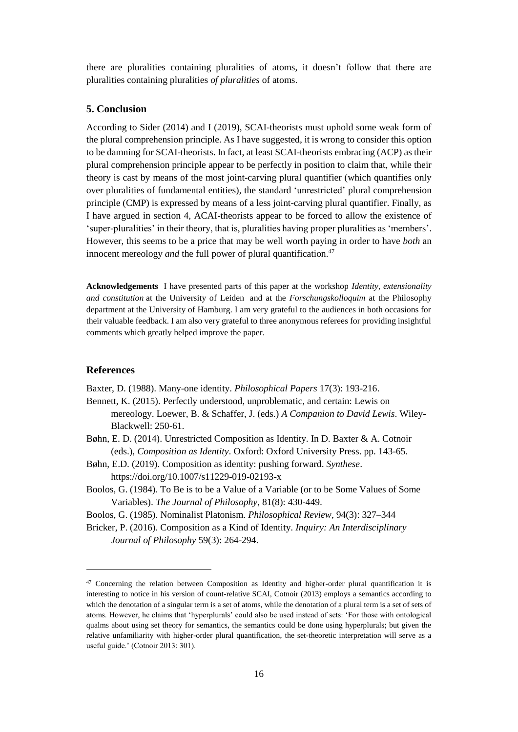there are pluralities containing pluralities of atoms, it doesn't follow that there are pluralities containing pluralities *of pluralities* of atoms.

# **5. Conclusion**

According to Sider (2014) and I (2019), SCAI-theorists must uphold some weak form of the plural comprehension principle. As I have suggested, it is wrong to consider this option to be damning for SCAI-theorists. In fact, at least SCAI-theorists embracing (ACP) as their plural comprehension principle appear to be perfectly in position to claim that, while their theory is cast by means of the most joint-carving plural quantifier (which quantifies only over pluralities of fundamental entities), the standard 'unrestricted' plural comprehension principle (CMP) is expressed by means of a less joint-carving plural quantifier. Finally, as I have argued in section 4, ACAI-theorists appear to be forced to allow the existence of 'super-pluralities' in their theory, that is, pluralities having proper pluralities as 'members'. However, this seems to be a price that may be well worth paying in order to have *both* an innocent mereology *and* the full power of plural quantification.<sup>47</sup>

**Acknowledgements** I have presented parts of this paper at the workshop *Identity, extensionality and constitution* at the University of Leiden and at the *Forschungskolloquim* at the Philosophy department at the University of Hamburg. I am very grateful to the audiences in both occasions for their valuable feedback. I am also very grateful to three anonymous referees for providing insightful comments which greatly helped improve the paper.

## **References**

 $\overline{\phantom{a}}$ 

Baxter, D. (1988). Many-one identity. *Philosophical Papers* 17(3): 193-216.

Bennett, K. (2015). Perfectly understood, unproblematic, and certain: Lewis on mereology. Loewer, B. & Schaffer, J. (eds.) *A Companion to David Lewis*. Wiley-Blackwell: 250-61.

- Bøhn, E. D. (2014). Unrestricted Composition as Identity. In D. Baxter & A. Cotnoir (eds.), *Composition as Identity*. Oxford: Oxford University Press. pp. 143-65.
- Bøhn, E.D. (2019). Composition as identity: pushing forward. *Synthese*. https://doi.org/10.1007/s11229-019-02193-x
- Boolos, G. (1984). To Be is to be a Value of a Variable (or to be Some Values of Some Variables). *The Journal of Philosophy*, 81(8): 430-449.
- Boolos, G. (1985). Nominalist Platonism. *Philosophical Review*, 94(3): 327–344

Bricker, P. (2016). Composition as a Kind of Identity. *Inquiry: An Interdisciplinary Journal of Philosophy* 59(3): 264-294.

<sup>&</sup>lt;sup>47</sup> Concerning the relation between Composition as Identity and higher-order plural quantification it is interesting to notice in his version of count-relative SCAI, Cotnoir (2013) employs a semantics according to which the denotation of a singular term is a set of atoms, while the denotation of a plural term is a set of sets of atoms. However, he claims that 'hyperplurals' could also be used instead of sets: 'For those with ontological qualms about using set theory for semantics, the semantics could be done using hyperplurals; but given the relative unfamiliarity with higher-order plural quantification, the set-theoretic interpretation will serve as a useful guide.' (Cotnoir 2013: 301).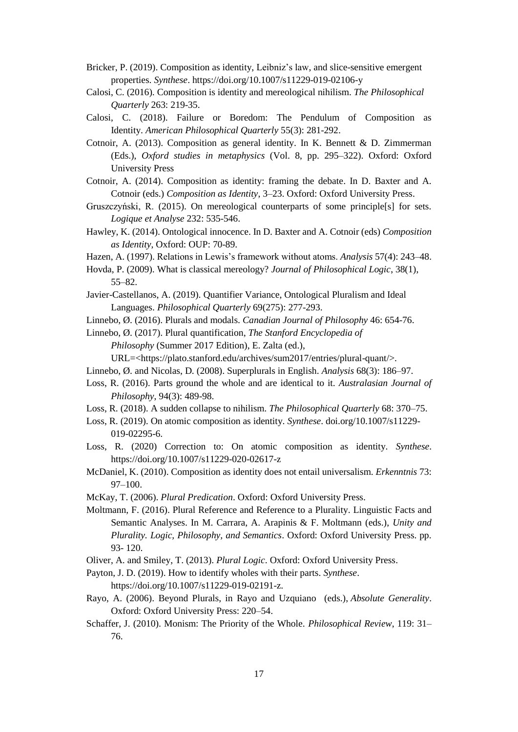- Bricker, P. (2019). Composition as identity, Leibniz's law, and slice-sensitive emergent properties. *Synthese*. https://doi.org/10.1007/s11229-019-02106-y
- Calosi, C. (2016). Composition is identity and mereological nihilism. *The Philosophical Quarterly* 263: 219-35.
- Calosi, C. (2018). Failure or Boredom: The Pendulum of Composition as Identity. *American Philosophical Quarterly* 55(3): 281-292.
- Cotnoir, A. (2013). Composition as general identity. In K. Bennett & D. Zimmerman (Eds.), *Oxford studies in metaphysics* (Vol. 8, pp. 295–322). Oxford: Oxford University Press
- Cotnoir, A. (2014). Composition as identity: framing the debate. In D. Baxter and A. Cotnoir (eds.) *Composition as Identity*, 3–23. Oxford: Oxford University Press.
- Gruszczyński, R. (2015). On mereological counterparts of some principle[s] for sets. *Logique et Analyse* 232: 535-546.
- Hawley, K. (2014). Ontological innocence. In D. Baxter and A. Cotnoir (eds) *Composition as Identity*, Oxford: OUP: 70-89.
- Hazen, A. (1997). Relations in Lewis's framework without atoms. *Analysis* 57(4): 243–48.
- Hovda, P. (2009). What is classical mereology? *Journal of Philosophical Logic*, 38(1), 55–82.
- Javier-Castellanos, A. (2019). Quantifier Variance, Ontological Pluralism and Ideal Languages. *Philosophical Quarterly* 69(275): 277-293.
- Linnebo, Ø. (2016). Plurals and modals. *Canadian Journal of Philosophy* 46: 654-76.
- Linnebo, Ø. (2017). Plural quantification, *The Stanford Encyclopedia of Philosophy* (Summer 2017 Edition), E. Zalta (ed.),
	- URL=<https://plato.stanford.edu/archives/sum2017/entries/plural-quant/>.
- Linnebo, Ø. and Nicolas, D. (2008). Superplurals in English. *Analysis* 68(3): 186–97.
- Loss, R. (2016). Parts ground the whole and are identical to it. *Australasian Journal of Philosophy*, 94(3): 489-98.
- Loss, R. (2018). A sudden collapse to nihilism. *The Philosophical Quarterly* 68: 370–75.
- Loss, R. (2019). On atomic composition as identity. *Synthese*. doi.org/10.1007/s11229- 019-02295-6.
- Loss, R. (2020) Correction to: On atomic composition as identity. *Synthese*. https://doi.org/10.1007/s11229-020-02617-z
- McDaniel, K. (2010). Composition as identity does not entail universalism. *Erkenntnis* 73: 97–100.
- McKay, T. (2006). *Plural Predication*. Oxford: Oxford University Press.
- Moltmann, F. (2016). Plural Reference and Reference to a Plurality. Linguistic Facts and Semantic Analyses. In M. Carrara, A. Arapinis & F. Moltmann (eds.), *Unity and Plurality. Logic, Philosophy, and Semantics*. Oxford: Oxford University Press. pp. 93- 120.
- Oliver, A. and Smiley, T. (2013). *Plural Logic*. Oxford: Oxford University Press.
- Payton, J. D. (2019). How to identify wholes with their parts. *Synthese*.
	- https://doi.org/10.1007/s11229-019-02191-z.
- Rayo, A. (2006). Beyond Plurals, in Rayo and Uzquiano (eds.), *Absolute Generality*. Oxford: Oxford University Press: 220–54.
- Schaffer, J. (2010). Monism: The Priority of the Whole. *Philosophical Review*, 119: 31– 76.